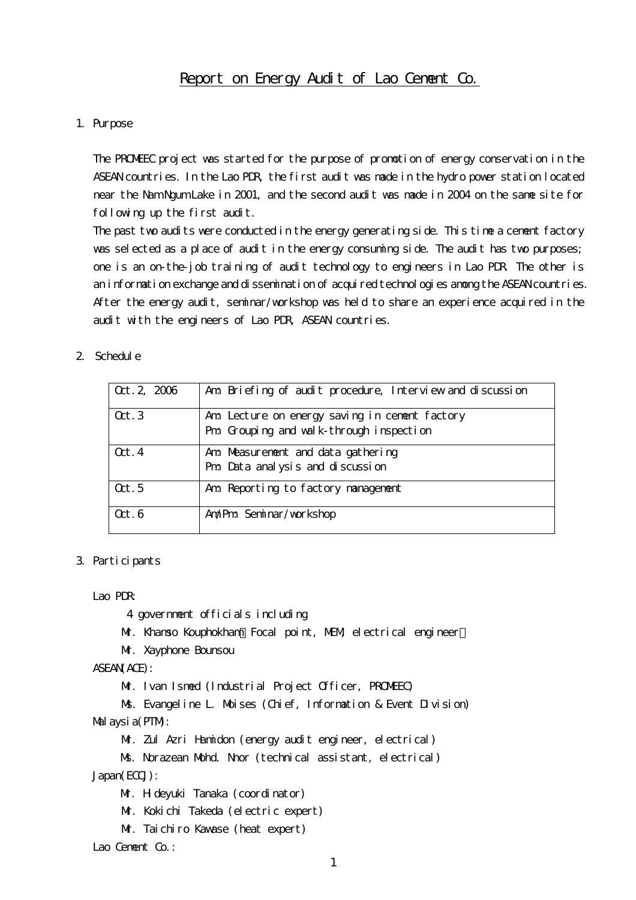## Report on Energy Audit of Lao Cement Co.

#### 1. Purpose

The PROMEEC project was started for the purpose of promotion of energy conservation in the ASEAN countries. In the Lao PDR, the first audit was made in the hydro power station located near the Nam Ngum Lake in 2001, and the second audit was made in 2004 on the same site for following up the first audit.

The past two audits were conducted in the energy generating side. This time a cement factory was selected as a place of audit in the energy consuming side. The audit has two purposes; one is an on-the-job training of audit technology to engineers in Lao PDR. The other is an information exchange and dissemination of acquired technologies among the ASEAN countries. After the energy audit, seminar/workshop was held to share an experience acquired in the audit with the engineers of Lao PDR, ASEAN countries.

#### 2. Schedule

| Qct.2, 2006 | Am Briefing of audit procedure, Interview and discussion |
|-------------|----------------------------------------------------------|
| Qct.3       | Am Lecture on energy saving in cenent factory            |
|             | Pm Grouping and walk-through inspection                  |
| Qct.4       | Am Measurement and data gathering                        |
|             | Pm Data analysis and discussion                          |
| Qct.5       | Am Reporting to factory nanagement                       |
| Qct.6       | AnxiPm Seminar/workshop                                  |

#### 3. Participants

Lao PDR:

4 government officials including

- Mr. Khanso Kouphokham Focal point, MEM, electrical engineer
- Mr. Xayphone Bounsou

ASEAN(ACE):

M. Ivan Ismed (Industrial Project Officer, PROMEEC)

 Ms. Evangeline L. Moises (Chief, Information & Event Division) Mal aysi a(PTM:

Mr. Zul Azri Hamidon (energy audit engineer, electrical)

Ms. Norazean Mohd. Nnor (technical assistant, electrical) Japan(ECCJ):

Mr. Hideyuki Tanaka (coordinator)

Mr. Kokichi Takeda (electric expert)

Mr. Taichiro Kawase (heat expert)

Lao Cement Co.: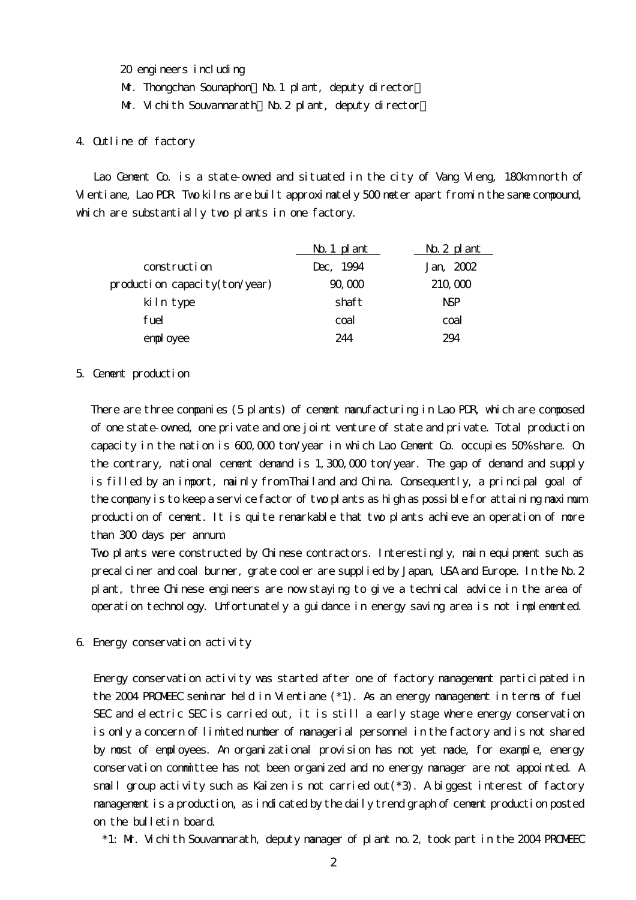- 20 engineers including
- Mr. Thongchan Sounaphon No. 1 plant, deputy director
- Mr. Vichith Souvannarath No. 2 plant, deputy director

#### 4. Outline of factory

 Lao Cement Co. is a state-owned and situated in the city of Vang Vieng, 180km north of Vientiane, Lao PDR. Two kilns are built approximately 500 meter apart from in the same compound, which are substantially two plants in one factory.

|                                                | $\Delta$ 1 pl ant | <u>No. 2 pl ant</u> |
|------------------------------------------------|-------------------|---------------------|
| construction                                   | Dec, 1994         | Jan, 2002           |
| $product$ i on capacity $(t$ on $\sqrt{year})$ | 90,000            | 210,000             |
| kilntype                                       | shaft             | <b>NSP</b>          |
| fuel                                           | coal              | coal                |
| employee                                       | 244               | 294                 |

#### 5. Cement production

There are three companies (5 plants) of cement manufacturing in Lao PDR, which are composed of one state-owned, one private and one joint venture of state and private. Total production capacity in the nation is 600,000 ton/year in which Lao Cement Co. occupies 50% share. On the contrary, national cement demand is 1,300,000 ton/year. The gap of demand and supply is filled by an import, mainly from Thailand and China. Consequently, a principal goal of the company is to keep a service factor of two plants as high as possible for attaining maximum production of cement. It is quite remarkable that two plants achieve an operation of more than 300 days per annum.

Two plants were constructed by Chinese contractors. Interestingly, main equipment such as precalciner and coal burner, grate cooler are supplied by Japan, USA and Europe. In the No.2 plant, three Chinese engineers are now staying to give a technical advice in the area of operation technology. Unfortunately a guidance in energy saving area is not implemented.

6. Energy conservation activity

Energy conservation activity was started after one of factory management participated in the 2004 PROMEEC seminar held in Vientiane (\*1). As an energy management in terms of fuel SEC and electric SEC is carried out, it is still a early stage where energy conservation is only a concern of limited number of managerial personnel in the factory and is not shared by most of employees. An organizational provision has not yet made, for example, energy conservation committee has not been organized and no energy manager are not appointed. A small group activity such as Kaizen is not carried out  $(*3)$ . A biggest interest of factory management is a production, as indicated by the daily trend graph of cement production posted on the bulletin board.

\*1: Mr. Vichith Souvannarath, deputy manager of plant no.2, took part in the 2004 PROMEEC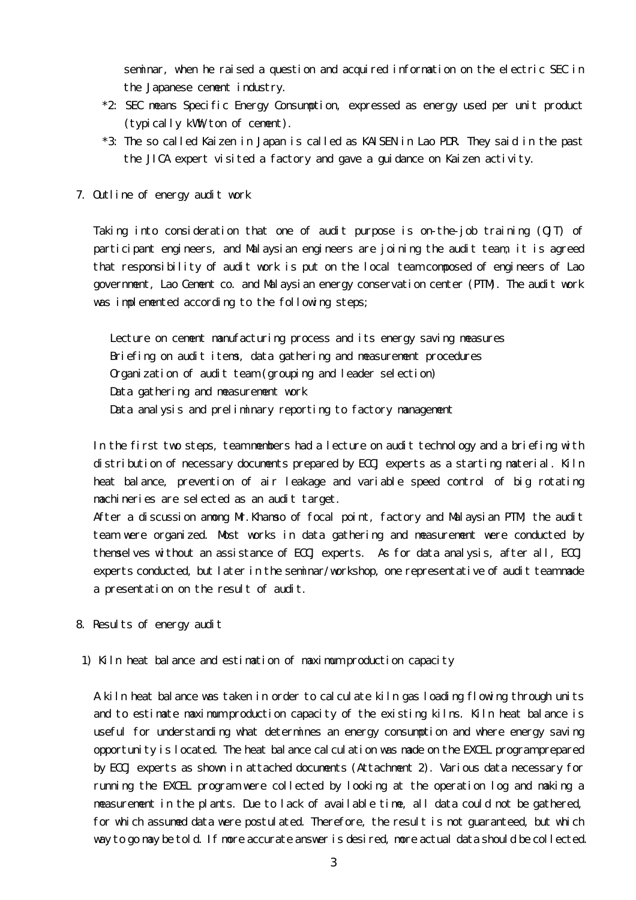seminar, when he raised a question and acquired information on the electric SEC in the Japanese cement industry.

- \*2: SEC means Specific Energy Consumption, expressed as energy used per unit product (typically kWh/ton of cement).
- \*3: The so called Kaizen in Japan is called as KAISEN in Lao PDR. They said in the past the JICA expert visited a factory and gave a guidance on Kaizen activity.
- 7. Outline of energy audit work

Taking into consideration that one of audit purpose is on-the-job training (OJT) of participant engineers, and Malaysian engineers are joining the audit team, it is agreed that responsibility of audit work is put on the local team composed of engineers of Lao government, Lao Cement co. and Malaysian energy conservation center (PTM). The audit work was implemented according to the following steps;

Lecture on cement manufacturing process and its energy saving measures Briefing on audit items, data gathering and measurement procedures Organization of audit team (grouping and leader selection) Data gathering and measurement work Data analysis and preliminary reporting to factory management

In the first two steps, team members had a lecture on audit technology and a briefing with distribution of necessary documents prepared by ECCJ experts as a starting material. Kiln heat balance, prevention of air leakage and variable speed control of big rotating machineries are selected as an audit target.

After a discussion among Mr.Khamso of focal point, factory and Malaysian PTM, the audit team were organized. Most works in data gathering and measurement were conducted by themselves without an assistance of ECCJ experts. As for data analysis, after all, ECCJ experts conducted, but later in the seminar/workshop, one representative of audit team made a presentation on the result of audit.

- 8. Results of energy audit
	- 1) Kiln heat balance and estimation of maximum production capacity

 A kiln heat balance was taken in order to calculate kiln gas loading flowing through units and to estimate maximum production capacity of the existing kilns. Kiln heat balance is useful for understanding what determines an energy consumption and where energy saving opportunity is located. The heat balance calculation was made on the EXCEL program prepared by ECCJ experts as shown in attached documents (Attachment 2). Various data necessary for running the EXCEL program were collected by looking at the operation log and making a measurement in the plants. Due to lack of available time, all data could not be gathered, for which assumed data were postulated. Therefore, the result is not guaranteed, but which way to go may be told. If more accurate answer is desired, more actual data should be collected.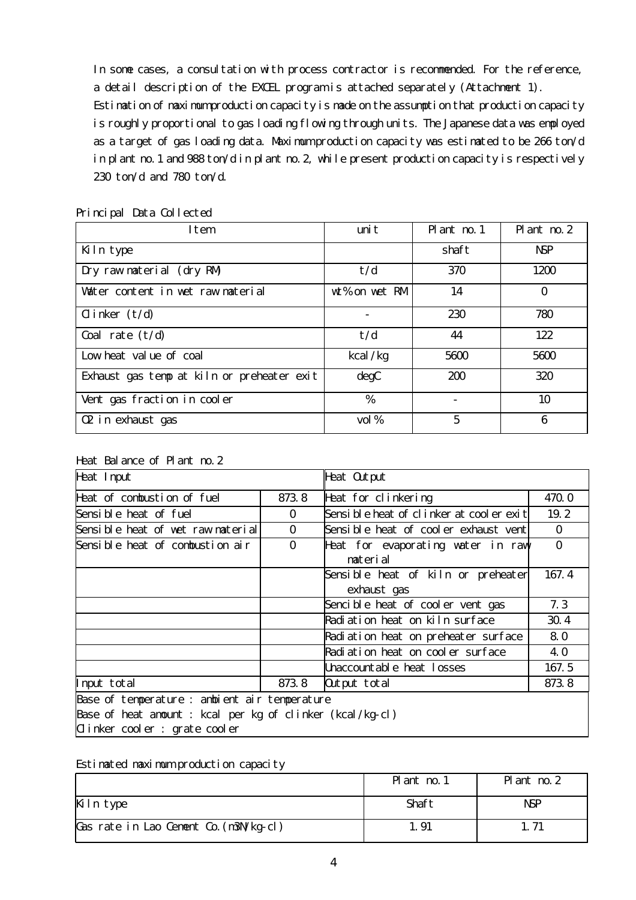In some cases, a consultation with process contractor is recommended. For the reference, a detail description of the EXCEL program is attached separately (Attachment 1). Estimation of maximum production capacity is made on the assumption that production capacity is roughly proportional to gas loading flowing through units. The Japanese data was employed

as a target of gas loading data. Maximum production capacity was estimated to be 266 ton/d in plant no.1 and 988 ton/d in plant no.2, while present production capacity is respectively 230 ton/d and 780 ton/d.

| Item                                       | unit            | P ant no. $1$ | P ant no. $2$ |
|--------------------------------------------|-----------------|---------------|---------------|
| Kilntype                                   |                 | shaft         | <b>NSP</b>    |
| Dry rawnaterial (dry RM                    | t/d             | 370           | 1200          |
| Water content in wet raw material          | $w$ % on wet RM | 14            | $\Omega$      |
| $\dim \ker (t/d)$                          |                 | 230           | 780           |
| Coal rate $(t/d)$                          | t/d             | 44            | 122           |
| Low heat value of coal                     | kcal/kg         | 5600          | 5600          |
| Exhaust gas temp at kiln or preheater exit | degC            | 200           | 320           |
| Vent gas fraction in cooler                | %               |               | 10            |
| O2 in exhaust gas                          | $vol\%$         | 5             | 6             |

Principal Data Collected

Heat Balance of Plant no. 2

| Heat Input                                               |          | Heat Output                             |                |
|----------------------------------------------------------|----------|-----------------------------------------|----------------|
| Heat of combustion of fuel                               | 873.8    | Heat for clinkering                     | 470.0          |
| Sensible heat of fuel                                    | $\Omega$ | Sensible heat of clinker at cooler exit | 19.2           |
| Sensible heat of wet raw material                        | $\Omega$ | Sensible heat of cooler exhaust vent    | $\overline{0}$ |
| Sensible heat of combustion air                          | 0        | Heat for evaporating water in raw       | $\overline{0}$ |
|                                                          |          | naterial                                |                |
|                                                          |          | Sensible heat of kiln or preheater      | 167.4          |
|                                                          |          | exhaust gas                             |                |
|                                                          |          | Sencible heat of cooler vent gas        | 7.3            |
|                                                          |          | Radiation heat on kiln surface          | 30.4           |
|                                                          |          | Radiation heat on preheater surface     | 80             |
|                                                          |          | Radiation heat on cooler surface        | 4.0            |
|                                                          |          | Lhaccountable heat losses               | 167.5          |
| Input total                                              | 8738     | Output total                            | 8738           |
| Base of temperature : ambient air temperature            |          |                                         |                |
| Base of heat anount: kcal per kg of clinker (kcal/kg-cl) |          |                                         |                |
| $\alpha$ inker cooler : grate cooler                     |          |                                         |                |

#### Estimated maximum production capacity

|                                        | P ant no. $1$ | P ant no. $2$ |
|----------------------------------------|---------------|---------------|
| Kilntype                               | Shaft         | NSP           |
| Cas rate in Lao Cement Co. (n&N/kg-cl) | 1. 91         | 71            |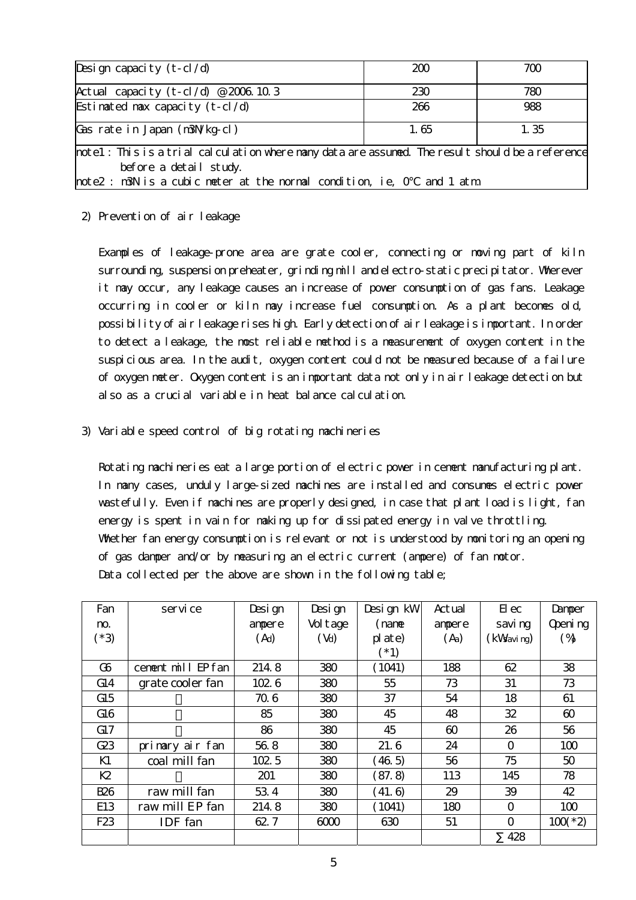| Design capacity $(t - cl/d)$                                                                                                                                                                               | 200  | 700  |
|------------------------------------------------------------------------------------------------------------------------------------------------------------------------------------------------------------|------|------|
| Actual capacity $(t - cl/d)$ @ 2006 10.3                                                                                                                                                                   | 230  | 780  |
| Estimated nax capacity $(t - c)/d$                                                                                                                                                                         | 266  | 988  |
| Cas rate in Japan (n3N/kg-cl)                                                                                                                                                                              | 1.65 | 1.35 |
| note1 : This is a trial calculation where many data are assumed. The result should be a reference<br>before a detail study.<br>$ note2: n\Re N$ is a cubic meter at the normal condition, ie, 0 and 1 atm. |      |      |

#### 2) Prevention of air leakage

 Examples of leakage-prone area are grate cooler, connecting or moving part of kiln surrounding, suspension preheater, grinding mill and electro-static precipitator. Wherever it may occur, any leakage causes an increase of power consumption of gas fans. Leakage occurring in cooler or kiln may increase fuel consumption. As a plant becomes old, possibility of air leakage rises high. Early detection of air leakage is important. In order to detect a leakage, the most reliable method is a measurement of oxygen content in the suspicious area. In the audit, oxygen content could not be measured because of a failure of oxygen meter. Oxygen content is an important data not only in air leakage detection but also as a crucial variable in heat balance calculation.

3) Variable speed control of big rotating machineries

 Rotating machineries eat a large portion of electric power in cement manufacturing plant. In many cases, unduly large-sized machines are installed and consumes electric power wastefully. Even if machines are properly designed, in case that plant load is light, fan energy is spent in vain for making up for dissipated energy in valve throttling. Whether fan energy consumption is relevant or not is understood by monitoring an opening of gas damper and/or by measuring an electric current (ampere) of fan motor. Data collected per the above are shown in the following table;

| Fan        | service            | Design            | Design            | Design kW | Actual            | $E$ ec         | Damper    |
|------------|--------------------|-------------------|-------------------|-----------|-------------------|----------------|-----------|
| no.        |                    | ampere            | Vol tage          | (nanee    | anpere            | savi ng        | Opening   |
| $(*3)$     |                    | (A <sub>d</sub> ) | (V <sub>d</sub> ) | pl at e)  | (A <sub>a</sub> ) | (kWaving)      | ( %)      |
|            |                    |                   |                   | $(*1)$    |                   |                |           |
| Œ          | cement mill EP fan | 2148              | 380               | (1041)    | 188               | 62             | 38        |
| G14        | grate cooler fan   | 102.6             | 380               | 55        | 73                | 31             | 73        |
| G15        |                    | 70.6              | 380               | 37        | 54                | 18             | 61        |
| G16        |                    | 85                | 380               | 45        | 48                | 32             | 60        |
| G17        |                    | 86                | 380               | 45        | 60                | 26             | 56        |
| G23        | primary air fan    | 56.8              | 380               | 21.6      | 24                | $\overline{O}$ | 100       |
| K1         | coal mill fan      | 102.5             | 380               | (46.5)    | 56                | 75             | 50        |
| K2         |                    | 201               | 380               | (87.8)    | 113               | 145            | 78        |
| <b>B26</b> | raw mill fan       | 534               | 380               | (41.6)    | 29                | 39             | 42        |
| E13        | raw mill EP fan    | 2148              | 380               | (1041)    | 180               | $\Omega$       | 100       |
| F23        | <b>IDF</b> fan     | 62.7              | 6000              | 630       | 51                | $\overline{O}$ | $100(*2)$ |
|            |                    |                   |                   |           |                   | 428            |           |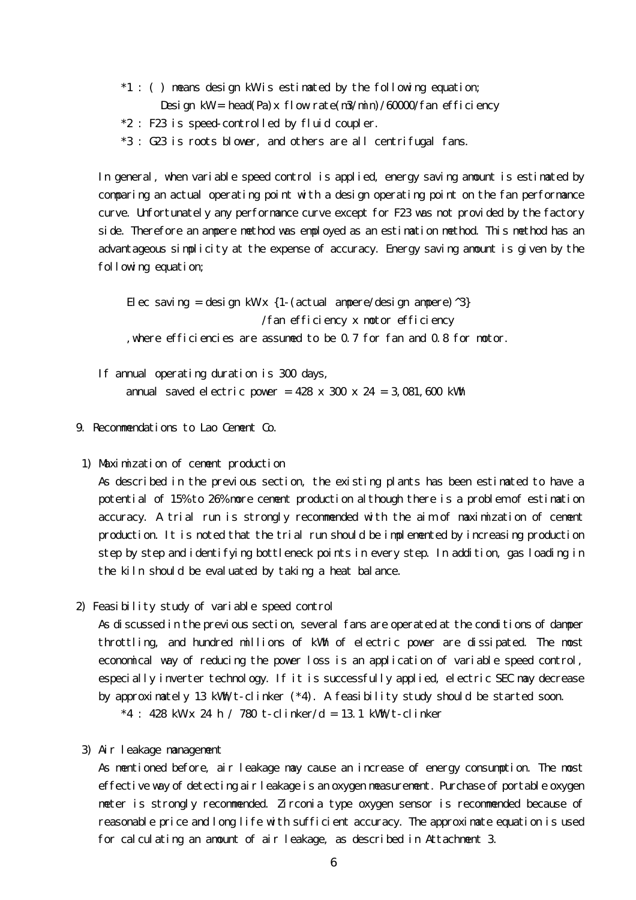- $*1$  : () means design kW is estimated by the following equation; Design kW = head(Pa) x flow rate(n $\frac{3}{m}$ )/ $\frac{60000}{5}$ an efficiency
- \*2 : F23 is speed-controlled by fluid coupler.
- \*3 : G23 is roots blower, and others are all centrifugal fans.

 In general, when variable speed control is applied, energy saving amount is estimated by comparing an actual operating point with a design operating point on the fan performance curve. Unfortunately any performance curve except for F23 was not provided by the factory side. Therefore an ampere method was employed as an estimation method. This method has an advantageous simplicity at the expense of accuracy. Energy saving amount is given by the following equation;

Elec saving = design kWx  $\{1-(\text{actual ampere}/\text{des})\$  ^3 /fan efficiency x motor efficiency ,where efficiencies are assumed to be 0.7 for fan and 0.8 for motor.

 If annual operating duration is 300 days, annual saved electric power =  $428 \times 300 \times 24 = 3,081,600$  kWh

#### 9. Recommendations to Lao Cement Co.

#### 1) Maximization of cement production

 As described in the previous section, the existing plants has been estimated to have a potential of 15% to 26% more cement production although there is a problem of estimation accuracy. A trial run is strongly recommended with the aim of maximization of cement production. It is noted that the trial run should be implemented by increasing production step by step and identifying bottleneck points in every step. In addition, gas loading in the kiln should be evaluated by taking a heat balance.

2) Feasibility study of variable speed control

 As discussed in the previous section, several fans are operated at the conditions of damper throttling, and hundred millions of kWh of electric power are dissipated. The most economical way of reducing the power loss is an application of variable speed control, especially inverter technology. If it is successfully applied, electric SEC may decrease by approximately 13 kWh/t-clinker (\*4). A feasibility study should be started soon.  $*4$  : 428 kWx 24 h / 780 t-clinker/d = 13.1 kWa/t-clinker

3) Air leakage management

 As mentioned before, air leakage may cause an increase of energy consumption. The most effective way of detecting air leakage is an oxygen measurement. Purchase of portable oxygen meter is strongly recommended. Zirconia type oxygen sensor is recommended because of reasonable price and long life with sufficient accuracy. The approximate equation is used for calculating an amount of air leakage, as described in Attachment 3.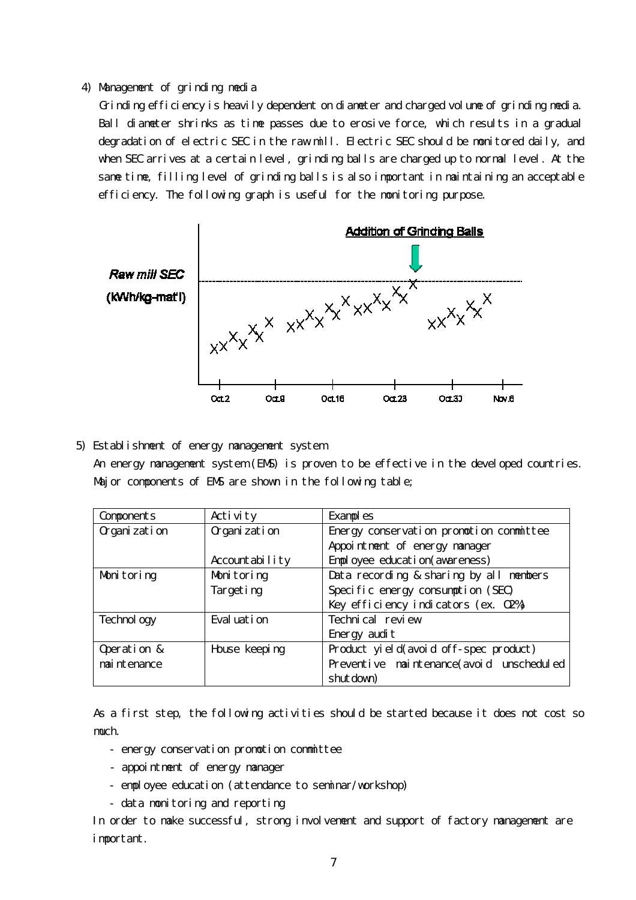#### 4) Management of grinding media

Grinding efficiency is heavily dependent on diameter and charged volume of grinding media. Ball diameter shrinks as time passes due to erosive force, which results in a gradual degradation of electric SEC in the raw mill. Electric SEC should be monitored daily, and when SEC arrives at a certain level, grinding balls are charged up to normal level. At the same time, filling level of grinding balls is also important in maintaining an acceptable efficiency. The following graph is useful for the monitoring purpose.



5) Establishment of energy management system

An energy management system (EMS) is proven to be effective in the developed countries. Major components of EMS are shown in the following table;

| Component s   | Activity       | Examples                                 |
|---------------|----------------|------------------------------------------|
| Organization  | Organization   | Energy conservation promotion committee  |
|               |                | Appointment of energy nanager            |
|               | Accountability | Employee education (awareness)           |
| Monitoring    | Monitoring     | Data recording & sharing by all numbers  |
|               | Target ing     | Specific energy consumption (SEC)        |
|               |                | Key efficiency indicators (ex. CE%)      |
| Technol ogy   | Evaluation     | Technical review                         |
|               |                | Energy audit                             |
| Operation &   | House keeping  | Product yield(avoid of f-spec product)   |
| nai nt enance |                | Preventive naintenance(avoid unscheduled |
|               |                | shut down)                               |

As a first step, the following activities should be started because it does not cost so much.

- energy conservation promotion committee
- appointment of energy manager
- employee education (attendance to seminar/workshop)
- data monitoring and reporting

 In order to make successful, strong involvement and support of factory management are important.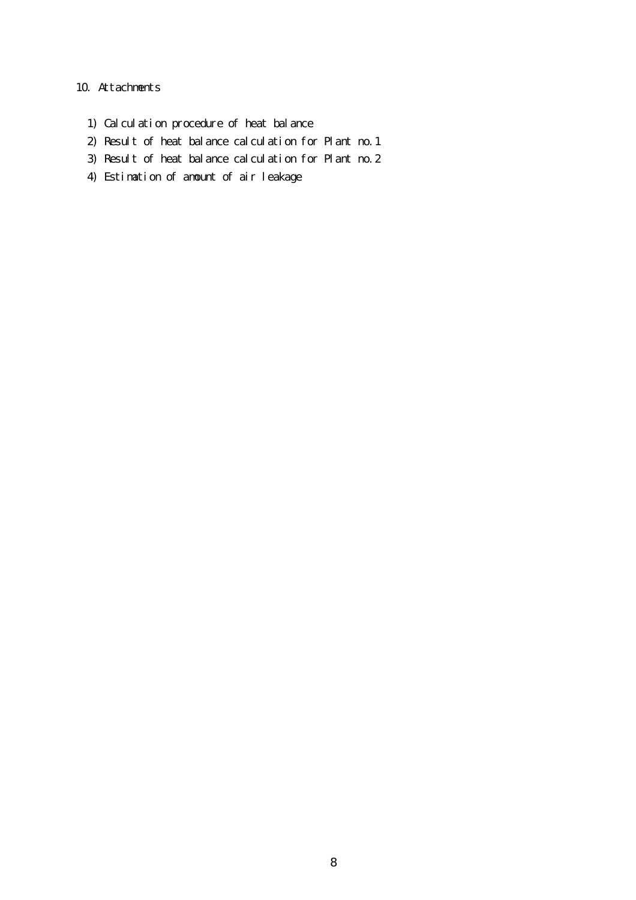#### 10. Attachments

- 1) Calculation procedure of heat balance
- 2) Result of heat balance calculation for Plant no.1
- 3) Result of heat balance calculation for Plant no.2
- 4) Estimation of amount of air leakage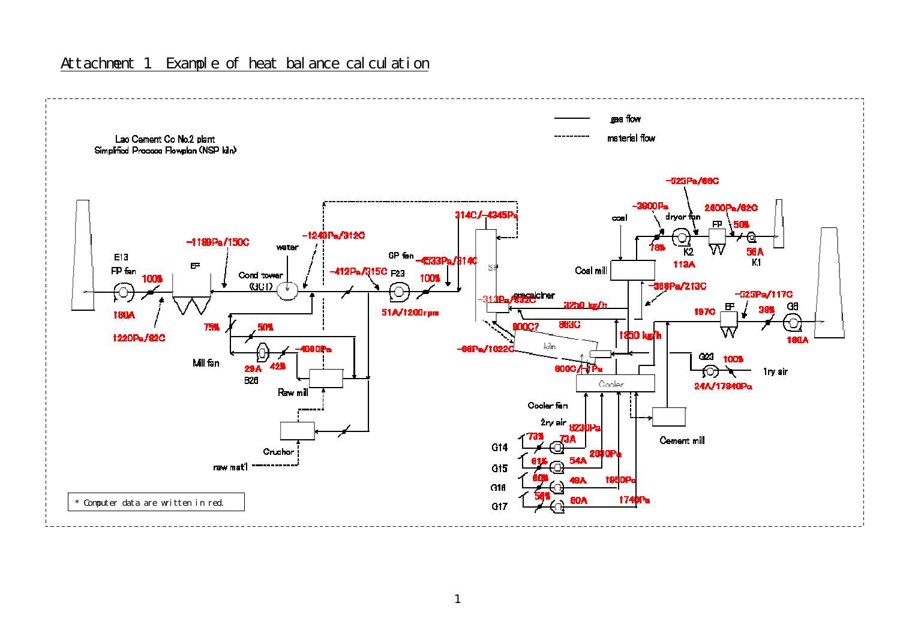

# Attachment 1 Example of heat balance calculation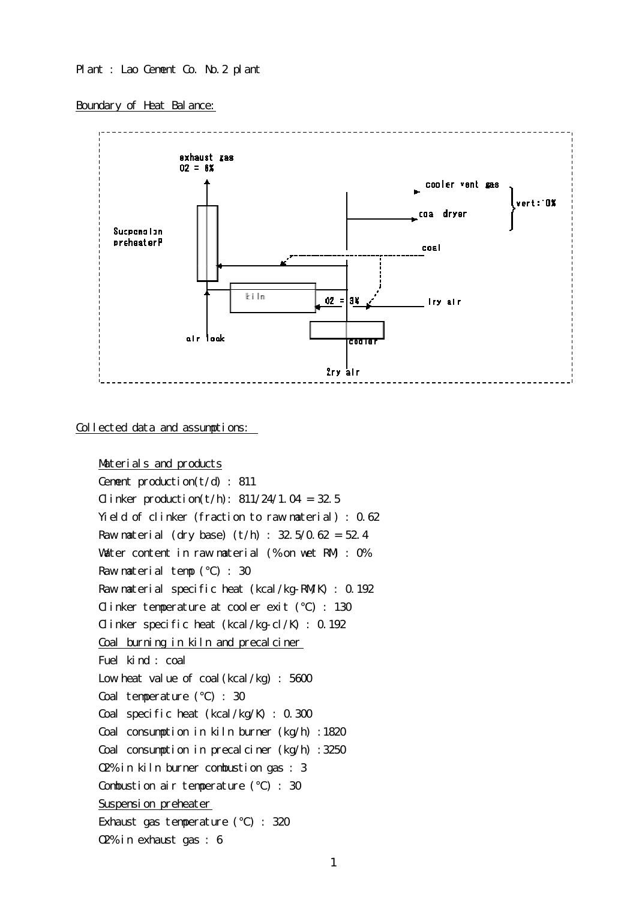#### Boundary of Heat Balance:



Collected data and assumptions:

Materials and products Cement production $(t/d)$ : 811 Clinker production(t/h):  $811/24/1.04 = 32.5$  Yield of clinker (fraction to raw material) : 0.62 Raw material (dry base)  $(t/h)$  : 32.5/0.62 = 52.4 Watter content in raw material (% on wet RM): 0% Raw material temp  $($   $)$  : 30 Raw material specific heat (kcal/kg-RM/K) : 0.192 Clinker temperature at cooler exit (℃) : 130 Clinker specific heat (kcal/kg-cl/K) : 0.192 Coal burning in kiln and precalciner Fuel kind : coal Low heat value of coal (kcal/kg) : 5600 Coal temperature ( ) : 30 Coal specific heat (kcal/kg/K) : 0.300 Coal consumption in kiln burner (kg/h) :1820 Coal consumption in precalciner (kg/h) :3250 O2% in kiln burner combustion gas : 3 Combustion air temperature  $($   $)$  : 30 Suspension preheater Exhaust gas temperature (℃) : 320 O2% in exhaust gas : 6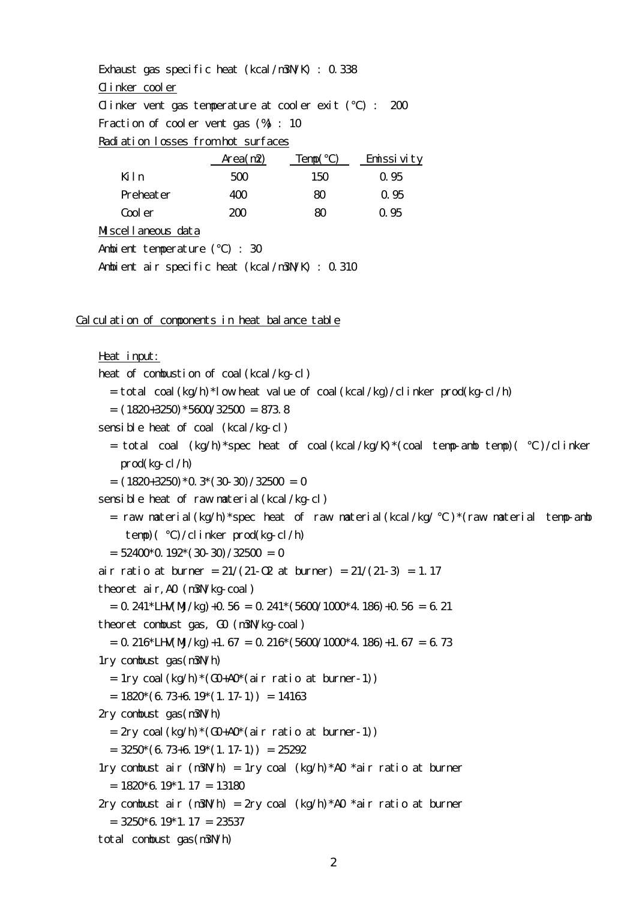Exhaust gas specific heat (kcal/m3N/K) : 0.338 Clinker cooler Clinker vent gas temperature at cooler exit (℃) : 200 Fraction of cooler vent gas (%) : 10 Radiation losses from hot surfaces

|                                                | Area(m2) | Temp( | Emissivity |
|------------------------------------------------|----------|-------|------------|
| Kiln                                           | 500      | 150   | Q 95       |
| <b>Preheater</b>                               | 40O      | 80    | 0.95       |
| Cool er                                        | 2O       | ണ     | Q 95       |
| Miscellaneous data                             |          |       |            |
| Ambient temperature $( ) : 30$                 |          |       |            |
| Anbient air specific heat (kcal/n3NVK) : 0.310 |          |       |            |

Calculation of components in heat balance table

```
 Heat input:
heat of combustion of coal(kcal/kg-cl) 
 = total coal (kg/h) *low heat value of coal (kcal/kg)/clinker prod(kg-cl/h)
 = (1820+3250) * 5600/32500 = 873.8
sensible heat of coal (kcal/kg-cl) 
 = total coal (kg/h)*spec heat of coal(kcal/kg/K)*(coal temp-amb temp)( )/clinker
   prod(kg-cl/h) 
 =(1820+3250)*0.3*(30.30)/32500 = 0 sensible heat of raw material(kcal/kg-cl) 
 = raw material(kg/h)*spec heat of raw material(kcal/kg/ )*(raw material temp-amb
    temp)( ℃)/clinker prod(kg-cl/h) 
 = 52400^{\circ} 0. 192^{\circ} (30 30) /32500 = 0air ratio at burner = 21/(21-C2) at burner) = 21/(21-3) = 1.17
theoret air,A0 (m3N/kg-coal) 
 = 0.241*LH/(M/kg) + 0.56 = 0.241*(5600/1000*4.186) + 0.56 = 6.21 theoret combust gas, G0 (m3N/kg-coal) 
 = 0.216*LH(M/kg) + 1.67 = 0.216*(5600/1000*4.186) + 1.67 = 6.73 1ry combust gas(m3N/h) 
 = 1ry \text{ coal} (kg/h) * (Q0+A0*(ai r \text{ ratio at burner-1}))= 1820^{*}(6.73+6.19^{*}(1.17-1)) = 14163 2ry combust gas(m3N/h) 
 = 2ry \text{ coal} (kg/h)*(Q0+A0*(ai r \text{ ratio at burner-1}))= 3250*(6.73+6.19*(1.17-1)) = 25292 1ry combust air (m3N/h) = 1ry coal (kg/h)*A0 *air ratio at burner 
 = 1820 \text{°}6.19 \text{°}1.17 = 131802ry combust air (m3NVh) = 2ry coal (kg/h) *A0 *air ratio at burner
 = 3250*6.19*1.17 = 23537total combust gas(m3N/h)
```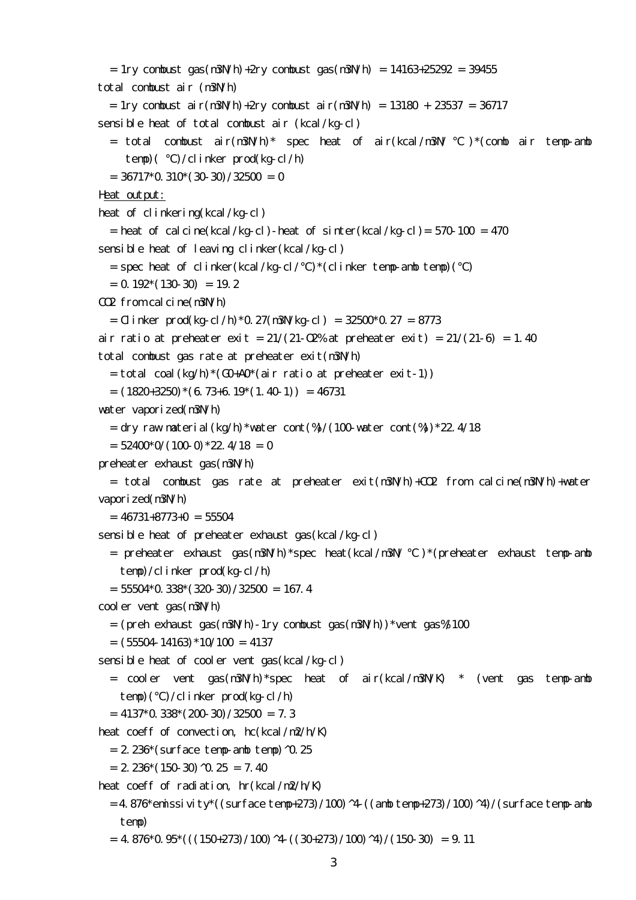$= 1$ ry combust gas(m $3$ Nh) + 2ry combust gas(m $3$ Nh)  $= 14163+25292 = 39455$ total combust air (m3N/h)  $= 1$ ry combust air(m3NVh) + 2ry combust air(m3NVh)  $= 13180 + 23537 = 36717$ sensible heat of total combust air (kcal/kg-cl)  $=$  total combust air $(n3N/N)^*$  spec heat of air $(kcal/m3N/$   $)*(comb$  air temp-amb temp)( ℃)/clinker prod(kg-cl/h)  $= 36717*0.310*(30.30)/32500 = 0$ Heat output: heat of clinkering(kcal/kg-cl) = heat of calcine(kcal/kg-cl)-heat of sinter(kcal/kg-cl) =  $570-100 = 470$  sensible heat of leaving clinker(kcal/kg-cl) = spec heat of clinker(kcal/kg-cl/℃)\*(clinker temp-amb temp)(℃)  $= 0.192*(130-30) = 19.2$ CO<sub>2</sub> from calcine (m3N/h)  $=$  Cl i nker prod(kg-cl /h)  $*$  0.27(n3N/kg-cl) = 32500 $*$  0.27 = 8773 air ratio at preheater exit =  $21/(21-OS)$  at preheater exit) =  $21/(21-OS)$  = 1.40 total combust gas rate at preheater exit(m3N/h)  $=$  total coal (kg/h)  $*($  CO+AO $*($  air ratio at preheater exit-1))  $=$  (1820+3250)  $*(6.73+6.19*(1.40.1)) = 46731$  water vaporized(m3N/h) = dry raw material (kg/h) \* water cont( $\frac{9}{4}$ /(100-water cont( $\frac{9}{4}$ ) \* 22.4/18  $= 52400^{\circ}0/(1000)^{*}22.4/18 = 0$  preheater exhaust gas(m3N/h)  $=$  total combust gas rate at preheater exit(m3NVh)+CO2 from calcine(m3NVh)+water vaporized(m3N/h)  $= 46731 + 8773 + 0 = 55504$  sensible heat of preheater exhaust gas(kcal/kg-cl) = preheater exhaust gas(m3NVh)\*spec heat(kcal/m3N/ )\*(preheater exhaust temp-amb temp)/clinker prod(kg-cl/h)  $= 55504*0.338*(320.30)/32500 = 167.4$  cooler vent gas(m3N/h)  $=$  (preh exhaust gas(m $3V$ h)-1ry combust gas(m $3V$ h))\*vent gas%/100  $=$  (55504-14163)  $*10/100 = 4137$ 

sensible heat of cooler vent gas(kcal/kg-cl)

= cooler vent gas( $n\frac{3}{N}$ ) \*spec heat of air(kcal/ $n\frac{3}{N}$ K) \* (vent gas temp-amb temp)(℃)/clinker prod(kg-cl/h)

 $= 4137*0.338*(200-30)/32500 = 7.3$ 

heat coeff of convection, hc(kcal/m2/h/K)

 $= 2.236^{\circ}$  (surface temp-amb temp)  $\sqrt{0.25}$ 

 $= 2.236*(150.30)$   $\Omega$   $= 7.40$ 

heat coeff of radiation, hr(kcal/m2/h/K)

= 4.876\*emissivity\*((surface temp+273)/100)^4-((amb temp+273)/100)^4)/(surface temp-amb temp)

 $= 4.876*0.95*((150+273)/100)^{4}+(30+273)/100)^{4}+(150-30) = 9.11$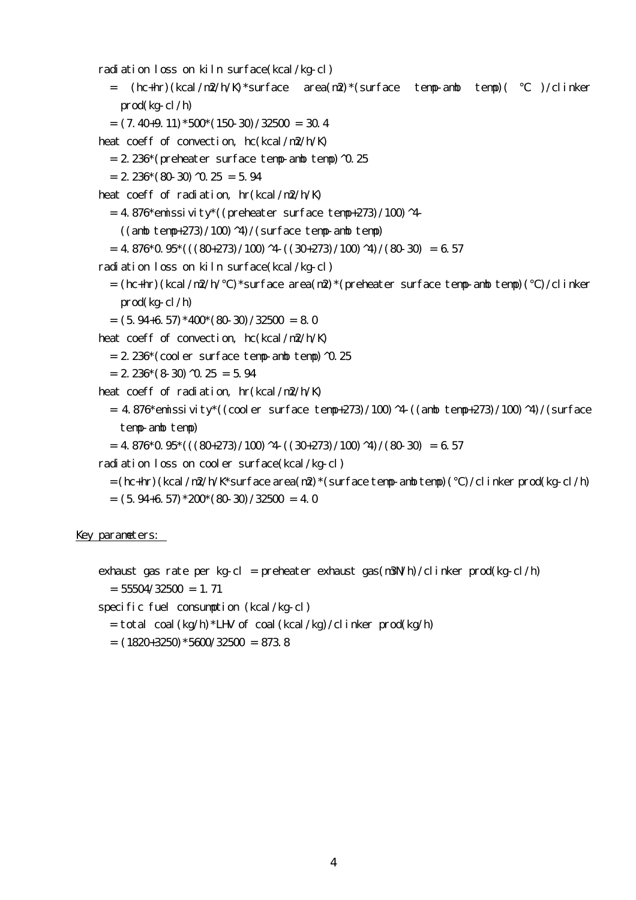radiation loss on kiln surface(kcal/kg-cl)

- = (hc+hr)(kcal/m2/h/K)\*surface area(m2)\*(surface temp-amb temp)( ℃ )/clinker prod(kg-cl/h)
- $= (7.40+9.11)*500*(150-30)/32500 = 30.4$

heat coeff of convection, hc(kcal/m2/h/K)

- $= 2.236^{\ast}$  (preheater surface temp-amb temp)  $\sqrt{0.25}$
- $= 2.236*(80.30)$  ^0.25 = 5.94

```
heat coeff of radiation, hr(kcal/m2/h/K)
```
- = 4.876\*emissivity\*((preheater surface temp+273)/100)^4-
	- $((\text{amb } \text{temp}+273)/100)$  ^4)/(surface temp-amb temp)

 $= 4.876*0.95*((180+273)/100)^{4}+(130+273)/100)^{4}+(80-30) = 6.57$ 

radiation loss on kiln surface(kcal/kg-cl)

- $=$   $(hc+hr)(kcal/n2/h/$   $)*$ surface area $(n2)*($ preheater surface temp-amb temp) $($   $)/cl$  inker prod(kg-cl/h)
- $= (5.94+6.57)*400*(80.30)/32500 = 8.0$

heat coeff of convection, hc(kcal/m2/h/K)

- $= 2.236^{\circ}$  (cooler surface temp-amb temp)  $\degree$ 0.25
- $= 2.236*(8.30)$  ^0.25  $= 5.94$
- heat coeff of radiation, hr(kcal/m2/h/K)
	- = 4.876\*emissivity\*((cooler surface temp+273)/100)^4-((amb temp+273)/100)^4)/(surface temp-amb temp)

= 
$$
4.876^{\circ}0.95^{\circ}((80+273)/100)^{4}((30+273)/100)^{4}]/(80.30) = 6.57
$$

radiation loss on cooler surface(kcal/kg-cl)

- $=$   $(hc+hr)$  (kcal/n2 $h$ <sup>K\*</sup>surface area $(n2)$ <sup>\*</sup> (surface temp-amb temp)()/clinker prod(kg-cl/h)
- $= (5.94+6.57)*200*(80.30)/32500 = 4.0$

Key parameters:

- exhaust gas rate per kg-cl = preheater exhaust gas(m3N/h)/clinker prod(kg-cl/h)
	- $= 55504/32500 = 1.71$
- specific fuel consumption (kcal/kg-cl)
	- $=$  total coal (kg/h) \*LHV of coal (kcal/kg)/clinker prod(kg/h)
	- $=$  (1820+3250) \* 5600/32500 = 873.8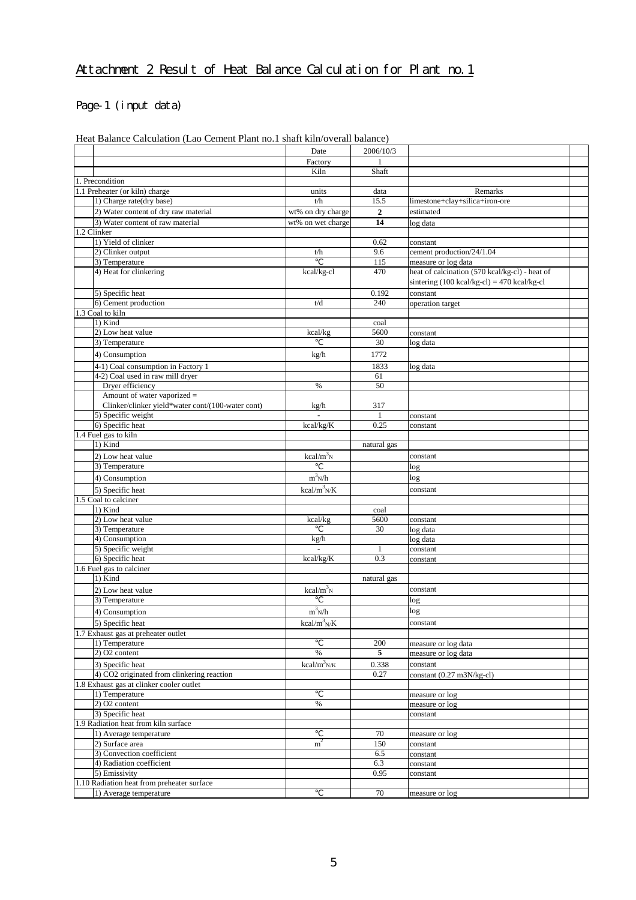# Page-1 (input data)

| Treat Danance Carcanation (Eao Cennent Fiant no.f bhart Kinn Overan banance) |                             |              |                                                |  |
|------------------------------------------------------------------------------|-----------------------------|--------------|------------------------------------------------|--|
|                                                                              | Date                        | 2006/10/3    |                                                |  |
|                                                                              | Factory                     |              |                                                |  |
|                                                                              | Kiln                        | Shaft        |                                                |  |
| 1. Precondition                                                              |                             |              |                                                |  |
| 1.1 Preheater (or kiln) charge                                               | units                       | data         | Remarks                                        |  |
| 1) Charge rate(dry base)                                                     | t/h                         | 15.5         | limestone+clay+silica+iron-ore                 |  |
| 2) Water content of dry raw material                                         | wt% on dry charge           | $\mathbf{2}$ | estimated                                      |  |
| 3) Water content of raw material                                             | wt% on wet charge           | 14           | log data                                       |  |
| 1.2 Clinker                                                                  |                             |              |                                                |  |
| 1) Yield of clinker                                                          |                             | 0.62         | constant                                       |  |
| 2) Clinker output                                                            | t/h                         | 9.6          | cement production/24/1.04                      |  |
| 3) Temperature                                                               |                             | 115          | measure or log data                            |  |
| 4) Heat for clinkering                                                       | kcal/kg-cl                  | 470          | heat of calcination (570 kcal/kg-cl) - heat of |  |
|                                                                              |                             |              | sintering (100 kcal/kg-cl) = 470 kcal/kg-cl    |  |
| 5) Specific heat                                                             |                             | 0.192        | constant                                       |  |
| 6) Cement production                                                         | t/d                         | 240          | operation target                               |  |
| 1.3 Coal to kiln                                                             |                             |              |                                                |  |
| 1) Kind                                                                      |                             | coal         |                                                |  |
| 2) Low heat value                                                            | kcal/kg                     | 5600<br>30   | constant                                       |  |
| 3) Temperature                                                               |                             |              | log data                                       |  |
| 4) Consumption                                                               | kg/h                        | 1772         |                                                |  |
| 4-1) Coal consumption in Factory 1                                           |                             | 1833         | log data                                       |  |
| 4-2) Coal used in raw mill dryer                                             |                             | 61           |                                                |  |
| Dryer efficiency                                                             | $\%$                        | 50           |                                                |  |
| Amount of water vaporized =                                                  |                             |              |                                                |  |
| Clinker/clinker yield*water cont/(100-water cont)                            | kg/h                        | 317          |                                                |  |
| 5) Specific weight                                                           |                             |              | constant                                       |  |
| 6) Specific heat<br>1.4 Fuel gas to kiln                                     | kcal/kg/K                   | 0.25         | constant                                       |  |
| 1) Kind                                                                      |                             | natural gas  |                                                |  |
|                                                                              |                             |              |                                                |  |
| 2) Low heat value                                                            | $kcal/m^3$ <sub>N</sub>     |              | constant                                       |  |
| 3) Temperature                                                               |                             |              | log                                            |  |
| 4) Consumption                                                               | $m^3 \text{N}/\text{h}$     |              | log                                            |  |
| 5) Specific heat                                                             | kcal/ $m^3$ <sub>N/</sub> K |              | constant                                       |  |
| 1.5 Coal to calciner                                                         |                             |              |                                                |  |
| 1) Kind                                                                      |                             | coal         |                                                |  |
| 2) Low heat value                                                            | kcal/kg                     | 5600         | constant                                       |  |
| 3) Temperature<br>4) Consumption                                             |                             | 30           | $\overline{\log}$ data                         |  |
| 5) Specific weight                                                           | kg/h<br>$\omega$            | $\mathbf{1}$ | $\overline{\log}$ data<br>constant             |  |
| 6) Specific heat                                                             | kcal/kg/K                   | 0.3          | constant                                       |  |
| 1.6 Fuel gas to calciner                                                     |                             |              |                                                |  |
| 1) Kind                                                                      |                             | natural gas  |                                                |  |
| 2) Low heat value                                                            | $kcal/m^3$ <sub>N</sub>     |              | constant                                       |  |
| 3) Temperature                                                               |                             |              | log                                            |  |
|                                                                              | $m^3$ <sub>N</sub> /h       |              | log                                            |  |
| 4) Consumption                                                               |                             |              |                                                |  |
| 5) Specific heat                                                             | $kcal/m^3N/K$               |              | constant                                       |  |
| 1.7 Exhaust gas at preheater outlet                                          |                             |              |                                                |  |
| 1) Temperature                                                               | %                           | 200<br>5     | measure or log data                            |  |
| 2) O2 content                                                                |                             |              | measure or log data                            |  |
| 3) Specific heat                                                             | $kcal/m^3$ N/K              | 0.338        | constant                                       |  |
| 4) CO2 originated from clinkering reaction                                   |                             | 0.27         | constant $(0.27 \text{ m3N/kg-cl})$            |  |
| 1.8 Exhaust gas at clinker cooler outlet<br>1) Temperature                   |                             |              |                                                |  |
|                                                                              |                             |              | measure or log                                 |  |
| 2) O2 content<br>3) Specific heat                                            | $\%$                        |              | measure or log<br>constant                     |  |
| 1.9 Radiation heat from kiln surface                                         |                             |              |                                                |  |
| 1) Average temperature                                                       |                             | 70           | measure or log                                 |  |
| 2) Surface area                                                              | m <sup>2</sup>              | 150          | constant                                       |  |
| 3) Convection coefficient                                                    |                             | 6.5          | constant                                       |  |
| 4) Radiation coefficient                                                     |                             | 6.3          | constant                                       |  |
| 5) Emissivity                                                                |                             | 0.95         | constant                                       |  |
| 1.10 Radiation heat from preheater surface                                   |                             |              |                                                |  |
| 1) Average temperature                                                       |                             | $70\,$       | measure or log                                 |  |
|                                                                              |                             |              |                                                |  |

Heat Balance Calculation (Lao Cement Plant no.1 shaft kiln/overall balance)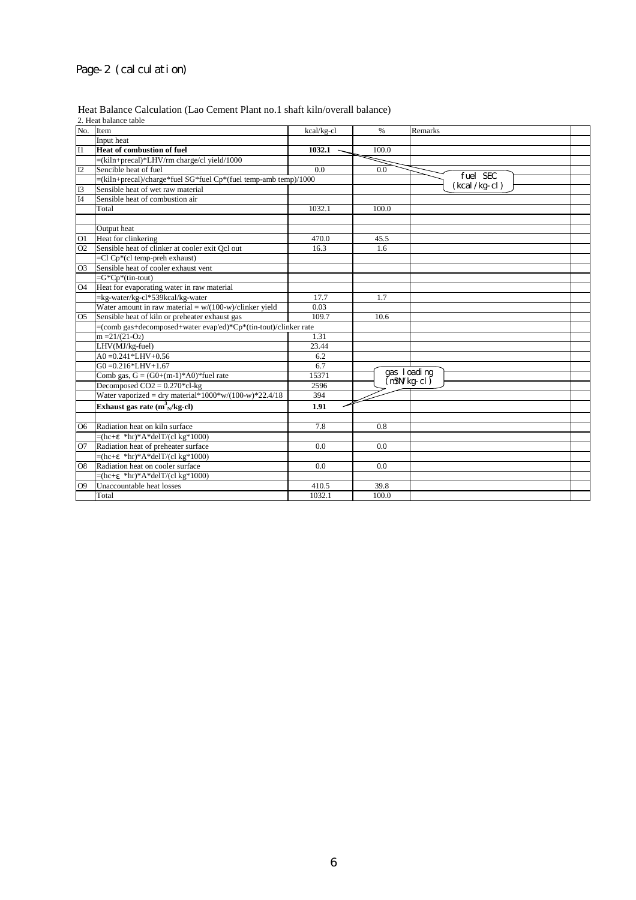# Page-2 (calculation)

### Heat Balance Calculation (Lao Cement Plant no.1 shaft kiln/overall balance)

2. Heat balance table

| No.            | Item                                                            | kcal/kg-cl | $\%$  | Remarks                    |  |
|----------------|-----------------------------------------------------------------|------------|-------|----------------------------|--|
|                | Input heat                                                      |            |       |                            |  |
| I <sub>1</sub> | <b>Heat of combustion of fuel</b>                               | 1032.1     | 100.0 |                            |  |
|                | =(kiln+precal)*LHV/rm charge/cl yield/1000                      |            |       |                            |  |
| I2             | Sencible heat of fuel                                           | 0.0        | 0.0   |                            |  |
|                | =(kiln+precal)/charge*fuel SG*fuel Cp*(fuel temp-amb temp)/1000 |            |       | fuel SEC                   |  |
| <b>I3</b>      | Sensible heat of wet raw material                               |            |       | (kcal/kg cl)               |  |
| I4             | Sensible heat of combustion air                                 |            |       |                            |  |
|                | Total                                                           | 1032.1     | 100.0 |                            |  |
|                |                                                                 |            |       |                            |  |
|                | Output heat                                                     |            |       |                            |  |
| O <sub>1</sub> | Heat for clinkering                                             | 470.0      | 45.5  |                            |  |
| O <sub>2</sub> | Sensible heat of clinker at cooler exit Qcl out                 | 16.3       | 1.6   |                            |  |
|                | $=$ Cl Cp*(cl temp-preh exhaust)                                |            |       |                            |  |
| O <sub>3</sub> | Sensible heat of cooler exhaust vent                            |            |       |                            |  |
|                | $=$ G*Cp*(tin-tout)                                             |            |       |                            |  |
| O <sub>4</sub> | Heat for evaporating water in raw material                      |            |       |                            |  |
|                | =kg-water/kg-cl*539kcal/kg-water                                | 17.7       | 1.7   |                            |  |
|                | Water amount in raw material = $w/(100-w)/$ clinker yield       | 0.03       |       |                            |  |
| O <sub>5</sub> | Sensible heat of kiln or preheater exhaust gas                  | 109.7      | 10.6  |                            |  |
|                | =(comb gas+decomposed+water evap'ed)*Cp*(tin-tout)/clinker rate |            |       |                            |  |
|                | $m = 21/(21-O2)$                                                | 1.31       |       |                            |  |
|                | LHV(MJ/kg-fuel)                                                 | 23.44      |       |                            |  |
|                | $A0 = 0.241 * LHV + 0.56$                                       | 6.2        |       |                            |  |
|                | $G0 = 0.216*LHV+1.67$                                           | 6.7        |       |                            |  |
|                | Comb gas, $G = (G0+(m-1)*A0)*$ fuel rate                        | 15371      |       | gas loading<br>(m3NVkg-cl) |  |
|                | Decomposed $CO2 = 0.270$ *cl-kg                                 | 2596       |       |                            |  |
|                | Water vaporized = dry material*1000*w/(100-w)*22.4/18           | 394        |       |                            |  |
|                | Exhaust gas rate $(m^3\sqrt{kg\text{-}cl})$                     | 1.91       |       |                            |  |
|                |                                                                 |            |       |                            |  |
| O <sub>6</sub> | Radiation heat on kiln surface                                  | 7.8        | 0.8   |                            |  |
|                | *hr)*A*delT/(cl kg*1000)<br>$=$ (hc+                            |            |       |                            |  |
| O7             | Radiation heat of preheater surface                             | 0.0        | 0.0   |                            |  |
|                | $=(hc+ *hr)*A*delT/(c1 kg*1000)$                                |            |       |                            |  |
| O <sub>8</sub> | Radiation heat on cooler surface                                | 0.0        | 0.0   |                            |  |
|                | $=(hc+$ *hr)*A*delT/(cl kg*1000)                                |            |       |                            |  |
| O <sub>9</sub> | Unaccountable heat losses                                       | 410.5      | 39.8  |                            |  |
|                | Total                                                           | 1032.1     | 100.0 |                            |  |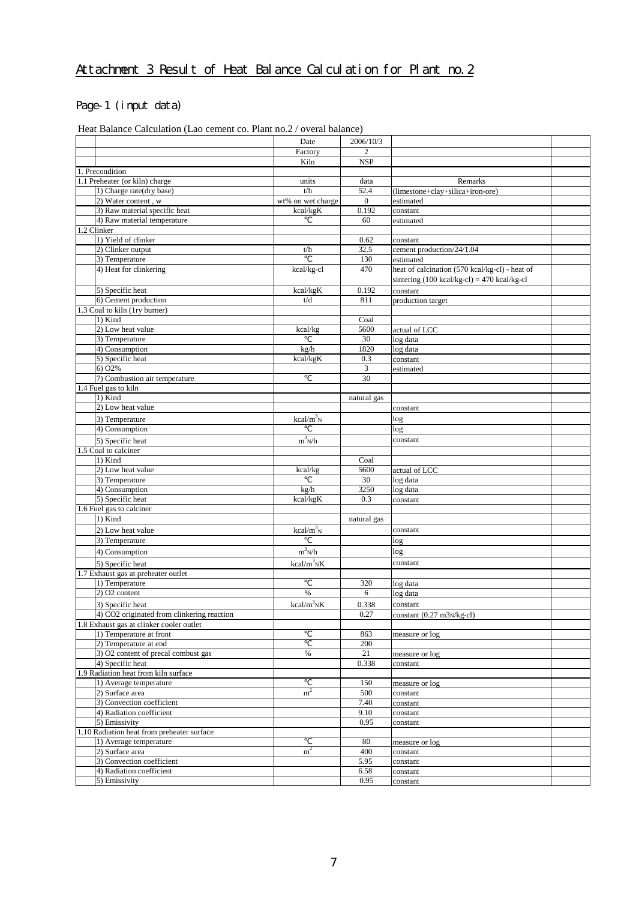# Attachment 3 Result of Heat Balance Calculation for Plant no. 2

# Page-1 (input data)

| Heat Balance Calculation (Lao cement co. Plant no. 2 / overal balance) |
|------------------------------------------------------------------------|
|------------------------------------------------------------------------|

|                                            | Date                      | 2006/10/3      |                                                             |  |
|--------------------------------------------|---------------------------|----------------|-------------------------------------------------------------|--|
|                                            | Factory                   | $\overline{c}$ |                                                             |  |
|                                            | Kiln                      | <b>NSP</b>     |                                                             |  |
| 1. Precondition                            |                           |                |                                                             |  |
| 1.1 Preheater (or kiln) charge             | units                     | data           | Remarks                                                     |  |
| 1) Charge rate(dry base)                   | t/h                       | 52.4           | (limestone+clay+silica+iron-ore)                            |  |
| 2) Water content, w                        | wt% on wet charge         | $\mathbf{0}$   | estimated                                                   |  |
| 3) Raw material specific heat              | kcal/kgK                  | 0.192          | constant                                                    |  |
| 4) Raw material temperature                |                           | 60             | estimated                                                   |  |
| 1.2 Clinker                                |                           |                |                                                             |  |
| 1) Yield of clinker                        |                           | 0.62           | constant                                                    |  |
| 2) Clinker output                          | t/h                       | 32.5           | cement production/24/1.04                                   |  |
| 3) Temperature                             |                           | 130            | estimated                                                   |  |
| 4) Heat for clinkering                     | kcal/kg-cl                | 470            | heat of calcination (570 kcal/kg-cl) - heat of              |  |
|                                            |                           |                | sintering $(100 \text{ kcal/kg-}c) = 470 \text{ kcal/kg-}c$ |  |
| 5) Specific heat                           | kcal/kgK                  | 0.192          | constant                                                    |  |
| 6) Cement production                       | t/d                       | 811            | production target                                           |  |
| 1.3 Coal to kiln (1ry burner)              |                           |                |                                                             |  |
| 1) Kind                                    |                           | Coal           |                                                             |  |
| 2) Low heat value                          | kcal/kg                   | 5600           | actual of LCC                                               |  |
| 3) Temperature                             |                           | 30             | log data                                                    |  |
| 4) Consumption                             | kg/h                      | 1820           | log data                                                    |  |
| 5) Specific heat                           | kcal/kgK                  | 0.3            | constant                                                    |  |
| 6) O2%                                     |                           |                | estimated                                                   |  |
| 7) Combustion air temperature              |                           | 3<br>30        |                                                             |  |
| 1.4 Fuel gas to kiln                       |                           |                |                                                             |  |
|                                            |                           |                |                                                             |  |
| 1) Kind                                    |                           | natural gas    |                                                             |  |
| 2) Low heat value                          |                           |                | constant                                                    |  |
| 3) Temperature                             | $kcal/m^3$ <sub>N</sub>   |                | log                                                         |  |
| 4) Consumption                             |                           |                | log                                                         |  |
| 5) Specific heat                           | $m^3$ <sub>N</sub> /h     |                | constant                                                    |  |
| 1.5 Coal to calciner                       |                           |                |                                                             |  |
| 1) Kind                                    |                           | Coal           |                                                             |  |
| 2) Low heat value                          | kcal/kg                   | 5600           | actual of LCC                                               |  |
| 3) Temperature                             |                           | 30             | log data                                                    |  |
| 4) Consumption                             | kg/h                      | 3250           | log data                                                    |  |
| 5) Specific heat                           | kcal/kgK                  | 0.3            | constant                                                    |  |
| 1.6 Fuel gas to calciner                   |                           |                |                                                             |  |
| 1) Kind                                    |                           | natural gas    |                                                             |  |
| 2) Low heat value                          | $kcal/m^3$ <sub>N</sub>   |                | constant                                                    |  |
| 3) Temperature                             |                           |                | log                                                         |  |
| 4) Consumption                             | $m^3$ <sub>N</sub> /h     |                | log                                                         |  |
|                                            |                           |                |                                                             |  |
| 5) Specific heat                           | $kcal/m^3$ <sub>N</sub> K |                | constant                                                    |  |
| 1.7 Exhaust gas at preheater outlet        |                           |                |                                                             |  |
| 1) Temperature                             |                           | 320            | log data                                                    |  |
| 2) O2 content                              | $\%$                      | 6              | log data                                                    |  |
| 3) Specific heat                           | $kcal/m^3$ <sub>N</sub> K | 0.338          | constant                                                    |  |
| 4) CO2 originated from clinkering reaction |                           | 0.27           | constant $(0.27 \text{ m}3\text{N/kg-}c1)$                  |  |
| 1.8 Exhaust gas at clinker cooler outlet   |                           |                |                                                             |  |
| 1) Temperature at front                    |                           | 863            | measure or log                                              |  |
| 2) Temperature at end                      |                           | 200            |                                                             |  |
| 3) O2 content of precal combust gas        | $\%$                      | 21             | measure or log                                              |  |
| 4) Specific heat                           |                           | 0.338          | constant                                                    |  |
| 1.9 Radiation heat from kiln surface       |                           |                |                                                             |  |
| 1) Average temperature                     |                           | 150            | measure or log                                              |  |
| 2) Surface area                            | m <sup>2</sup>            | 500            | constant                                                    |  |
| 3) Convection coefficient                  |                           | 7.40           | constant                                                    |  |
| 4) Radiation coefficient                   |                           | 9.10           | constant                                                    |  |
| 5) Emissivity                              |                           | 0.95           | constant                                                    |  |
| 1.10 Radiation heat from preheater surface |                           |                |                                                             |  |
| 1) Average temperature                     |                           | 80             | measure or log                                              |  |
| 2) Surface area                            | m <sup>2</sup>            | 400            | constant                                                    |  |
| 3) Convection coefficient                  |                           | 5.95           | constant                                                    |  |
| 4) Radiation coefficient                   |                           | 6.58           | constant                                                    |  |
| 5) Emissivity                              |                           | 0.95           | constant                                                    |  |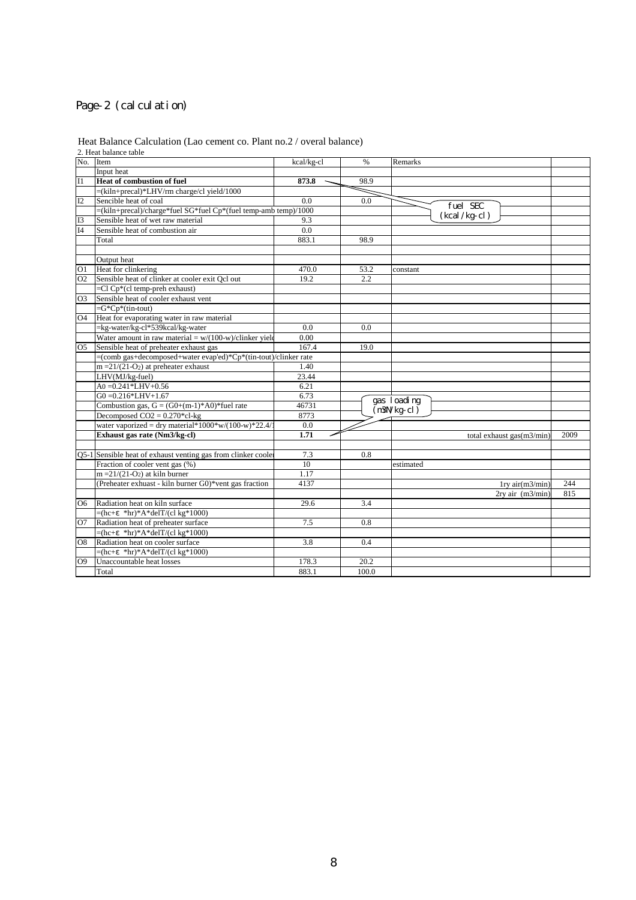# Page-2 (calculation)

|                 | 2. Heat balance table                                                |            |       |                           |      |
|-----------------|----------------------------------------------------------------------|------------|-------|---------------------------|------|
| No.             | Item                                                                 | kcal/kg-cl | %     | Remarks                   |      |
|                 | Input heat                                                           |            |       |                           |      |
| I <sub>1</sub>  | <b>Heat of combustion of fuel</b>                                    | 873.8      | 98.9  |                           |      |
|                 | $=(\text{kiln+precal})^*LHV/rm \text{ charge/}c1 \text{ yield/}1000$ |            |       |                           |      |
| 12              | Sencible heat of coal                                                | 0.0        | 0.0   | fuel SEC                  |      |
|                 | =(kiln+precal)/charge*fuel SG*fuel Cp*(fuel temp-amb temp)/1000      |            |       | $(kcal/kg$ -cl)           |      |
| I3              | Sensible heat of wet raw material                                    | 9.3        |       |                           |      |
| I4              | Sensible heat of combustion air                                      | 0.0        |       |                           |      |
|                 | Total                                                                | 883.1      | 98.9  |                           |      |
|                 |                                                                      |            |       |                           |      |
|                 | Output heat                                                          |            |       |                           |      |
| O <sub>1</sub>  | Heat for clinkering                                                  | 470.0      | 53.2  | constant                  |      |
| $\overline{O2}$ | Sensible heat of clinker at cooler exit Ocl out                      | 19.2       | 2.2   |                           |      |
|                 | $=$ Cl Cp*(cl temp-preh exhaust)                                     |            |       |                           |      |
| O <sub>3</sub>  | Sensible heat of cooler exhaust vent                                 |            |       |                           |      |
|                 | $=$ G*Cp*(tin-tout)                                                  |            |       |                           |      |
| O4              | Heat for evaporating water in raw material                           |            |       |                           |      |
|                 | =kg-water/kg-cl*539kcal/kg-water                                     | 0.0        | 0.0   |                           |      |
|                 | Water amount in raw material = $w/(100-w)/$ clinker yield            | 0.00       |       |                           |      |
| O5              | Sensible heat of preheater exhaust gas                               | 167.4      | 19.0  |                           |      |
|                 | =(comb gas+decomposed+water evap'ed)*Cp*(tin-tout)/clinker rate      |            |       |                           |      |
|                 | $m = 21/(21-O2)$ at preheater exhaust                                | 1.40       |       |                           |      |
|                 | LHV(MJ/kg-fuel)                                                      | 23.44      |       |                           |      |
|                 | A0= $0.241*LHV+0.56$                                                 | 6.21       |       |                           |      |
|                 | $G0 = 0.216*LHV+1.67$                                                | 6.73       |       | gas loading               |      |
|                 | Combustion gas, $G = (G0+(m-1)*A0)*$ fuel rate                       | 46731      |       | $\bar{m}$ N/kg-cl)        |      |
|                 | Decomposed $CO2 = 0.270$ *cl-kg                                      | 8773       |       |                           |      |
|                 | water vaporized = dry material*1000*w/(100-w)*22.4/                  | 0.0        |       |                           |      |
|                 | Exhaust gas rate (Nm3/kg-cl)                                         | 1.71       |       | total exhaust gas(m3/min) | 2009 |
|                 |                                                                      |            |       |                           |      |
|                 | Q5-1 Sensible heat of exhaust venting gas from clinker cooler        | 7.3        | 0.8   |                           |      |
|                 | Fraction of cooler vent gas (%)                                      | 10         |       | estimated                 |      |
|                 | $m = 21/(21-O2)$ at kiln burner                                      | 1.17       |       |                           |      |
|                 | (Preheater exhuast - kiln burner G0)*vent gas fraction               | 4137       |       | $1ry$ air $(m3/min)$      | 244  |
|                 |                                                                      |            |       | $2ry$ air $(m3/min)$      | 815  |
| O6              | Radiation heat on kiln surface                                       | 29.6       | 3.4   |                           |      |
|                 | $=(hc+ *hr)*A*delT/(cl kg*1000)$                                     |            |       |                           |      |
| O7              | Radiation heat of preheater surface                                  | 7.5        | 0.8   |                           |      |
|                 | $=(hc+ *hr)*A*delT/(cl kg*1000)$                                     |            |       |                           |      |
| O <sub>8</sub>  | Radiation heat on cooler surface                                     | 3.8        | 0.4   |                           |      |
|                 | $=(hc+ *hr)*A*delT/(cl kg*1000)$                                     |            |       |                           |      |
| O9              | Unaccountable heat losses                                            | 178.3      | 20.2  |                           |      |
|                 | Total                                                                | 883.1      | 100.0 |                           |      |

#### Heat Balance Calculation (Lao cement co. Plant no.2 / overal balance)